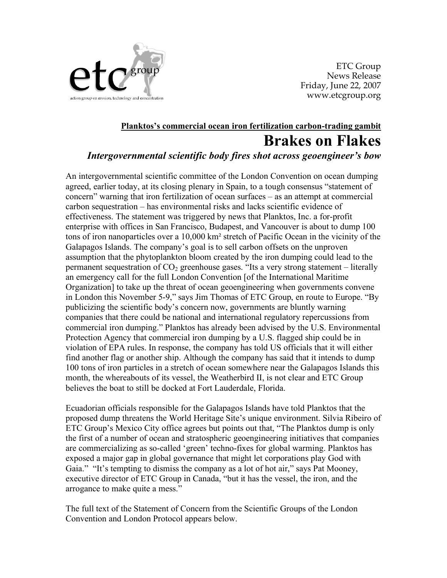

ETC Group News Release Friday, June 22, 2007 www.etcgroup.org

## **Planktos's commercial ocean iron fertilization carbon-trading gambit Brakes on Flakes** *Intergovernmental scientific body fires shot across geoengineer's bow*

An intergovernmental scientific committee of the London Convention on ocean dumping agreed, earlier today, at its closing plenary in Spain, to a tough consensus "statement of concern" warning that iron fertilization of ocean surfaces – as an attempt at commercial carbon sequestration – has environmental risks and lacks scientific evidence of effectiveness. The statement was triggered by news that Planktos, Inc. a for-profit enterprise with offices in San Francisco, Budapest, and Vancouver is about to dump 100 tons of iron nanoparticles over a 10,000 km² stretch of Pacific Ocean in the vicinity of the Galapagos Islands. The company's goal is to sell carbon offsets on the unproven assumption that the phytoplankton bloom created by the iron dumping could lead to the permanent sequestration of  $CO<sub>2</sub>$  greenhouse gases. "Its a very strong statement – literally an emergency call for the full London Convention [of the International Maritime Organization] to take up the threat of ocean geoengineering when governments convene in London this November 5-9," says Jim Thomas of ETC Group, en route to Europe. "By publicizing the scientific body's concern now, governments are bluntly warning companies that there could be national and international regulatory repercussions from commercial iron dumping." Planktos has already been advised by the U.S. Environmental Protection Agency that commercial iron dumping by a U.S. flagged ship could be in violation of EPA rules. In response, the company has told US officials that it will either find another flag or another ship. Although the company has said that it intends to dump 100 tons of iron particles in a stretch of ocean somewhere near the Galapagos Islands this month, the whereabouts of its vessel, the Weatherbird II, is not clear and ETC Group believes the boat to still be docked at Fort Lauderdale, Florida.

Ecuadorian officials responsible for the Galapagos Islands have told Planktos that the proposed dump threatens the World Heritage Site's unique environment. Silvia Ribeiro of ETC Group's Mexico City office agrees but points out that, "The Planktos dump is only the first of a number of ocean and stratospheric geoengineering initiatives that companies are commercializing as so-called 'green' techno-fixes for global warming. Planktos has exposed a major gap in global governance that might let corporations play God with Gaia." "It's tempting to dismiss the company as a lot of hot air," says Pat Mooney, executive director of ETC Group in Canada, "but it has the vessel, the iron, and the arrogance to make quite a mess."

The full text of the Statement of Concern from the Scientific Groups of the London Convention and London Protocol appears below.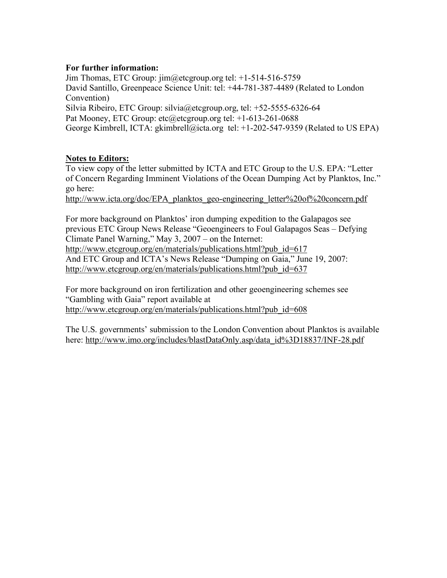## **For further information:**

Jim Thomas, ETC Group: jim@etcgroup.org tel: +1-514-516-5759 David Santillo, Greenpeace Science Unit: tel: +44-781-387-4489 (Related to London Convention) Silvia Ribeiro, ETC Group: silvia@etcgroup.org, tel: +52-5555-6326-64 Pat Mooney, ETC Group: etc@etcgroup.org tel: +1-613-261-0688 George Kimbrell, ICTA: gkimbrell@icta.org tel: +1-202-547-9359 (Related to US EPA)

## **Notes to Editors:**

To view copy of the letter submitted by ICTA and ETC Group to the U.S. EPA: "Letter of Concern Regarding Imminent Violations of the Ocean Dumping Act by Planktos, Inc." go here:

http://www.icta.org/doc/EPA\_planktos\_geo-engineering\_letter%20of%20concern.pdf

For more background on Planktos' iron dumping expedition to the Galapagos see previous ETC Group News Release "Geoengineers to Foul Galapagos Seas – Defying Climate Panel Warning," May 3, 2007 – on the Internet: http://www.etcgroup.org/en/materials/publications.html?pub\_id=617

And ETC Group and ICTA's News Release "Dumping on Gaia," June 19, 2007: http://www.etcgroup.org/en/materials/publications.html?pub\_id=637

For more background on iron fertilization and other geoengineering schemes see "Gambling with Gaia" report available at http://www.etcgroup.org/en/materials/publications.html?pub\_id=608

The U.S. governments' submission to the London Convention about Planktos is available here: http://www.imo.org/includes/blastDataOnly.asp/data\_id%3D18837/INF-28.pdf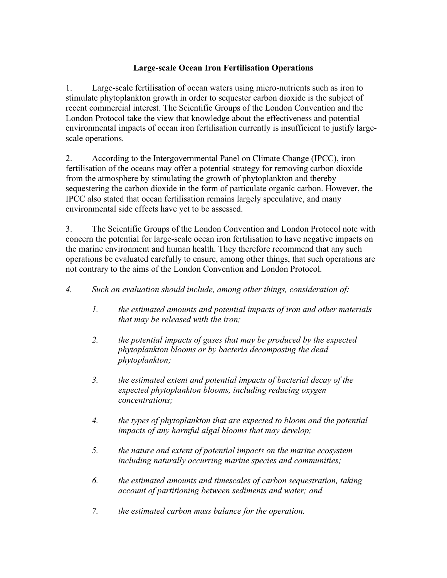## **Large-scale Ocean Iron Fertilisation Operations**

1. Large-scale fertilisation of ocean waters using micro-nutrients such as iron to stimulate phytoplankton growth in order to sequester carbon dioxide is the subject of recent commercial interest. The Scientific Groups of the London Convention and the London Protocol take the view that knowledge about the effectiveness and potential environmental impacts of ocean iron fertilisation currently is insufficient to justify largescale operations.

2. According to the Intergovernmental Panel on Climate Change (IPCC), iron fertilisation of the oceans may offer a potential strategy for removing carbon dioxide from the atmosphere by stimulating the growth of phytoplankton and thereby sequestering the carbon dioxide in the form of particulate organic carbon. However, the IPCC also stated that ocean fertilisation remains largely speculative, and many environmental side effects have yet to be assessed.

3. The Scientific Groups of the London Convention and London Protocol note with concern the potential for large-scale ocean iron fertilisation to have negative impacts on the marine environment and human health. They therefore recommend that any such operations be evaluated carefully to ensure, among other things, that such operations are not contrary to the aims of the London Convention and London Protocol.

- *4. Such an evaluation should include, among other things, consideration of:*
	- *1. the estimated amounts and potential impacts of iron and other materials that may be released with the iron;*
	- *2. the potential impacts of gases that may be produced by the expected phytoplankton blooms or by bacteria decomposing the dead phytoplankton;*
	- *3. the estimated extent and potential impacts of bacterial decay of the expected phytoplankton blooms, including reducing oxygen concentrations;*
	- *4. the types of phytoplankton that are expected to bloom and the potential impacts of any harmful algal blooms that may develop;*
	- *5. the nature and extent of potential impacts on the marine ecosystem including naturally occurring marine species and communities;*
	- *6. the estimated amounts and timescales of carbon sequestration, taking account of partitioning between sediments and water; and*
	- *7. the estimated carbon mass balance for the operation.*